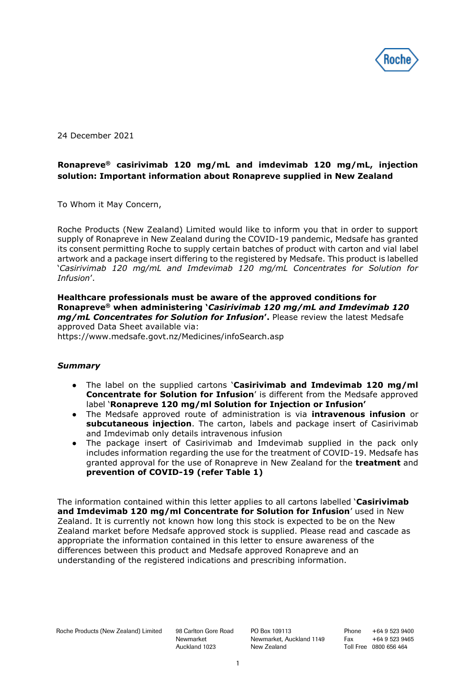

24 December 2021

# **Ronapreve® casirivimab 120 mg/mL and imdevimab 120 mg/mL, injection solution: Important information about Ronapreve supplied in New Zealand**

To Whom it May Concern,

Roche Products (New Zealand) Limited would like to inform you that in order to support supply of Ronapreve in New Zealand during the COVID-19 pandemic, Medsafe has granted its consent permitting Roche to supply certain batches of product with carton and vial label artwork and a package insert differing to the registered by Medsafe. This product is labelled '*Casirivimab 120 mg/mL and Imdevimab 120 mg/mL Concentrates for Solution for Infusion*'.

**Healthcare professionals must be aware of the approved conditions for Ronapreve® when administering '***Casirivimab 120 mg/mL and Imdevimab 120 mg/mL Concentrates for Solution for Infusion***'.** Please review the latest Medsafe approved Data Sheet available via:

https://www.medsafe.govt.nz/Medicines/infoSearch.asp

### *Summary*

- The label on the supplied cartons '**Casirivimab and Imdevimab 120 mg/ml Concentrate for Solution for Infusion**' is different from the Medsafe approved label '**Ronapreve 120 mg/ml Solution for Injection or Infusion'**
- The Medsafe approved route of administration is via **intravenous infusion** or **subcutaneous injection**. The carton, labels and package insert of Casirivimab and Imdevimab only details intravenous infusion
- The package insert of Casirivimab and Imdevimab supplied in the pack only includes information regarding the use for the treatment of COVID-19. Medsafe has granted approval for the use of Ronapreve in New Zealand for the **treatment** and **prevention of COVID-19 (refer Table 1)**

The information contained within this letter applies to all cartons labelled '**Casirivimab and Imdevimab 120 mg/ml Concentrate for Solution for Infusion**' used in New Zealand. It is currently not known how long this stock is expected to be on the New Zealand market before Medsafe approved stock is supplied. Please read and cascade as appropriate the information contained in this letter to ensure awareness of the differences between this product and Medsafe approved Ronapreve and an understanding of the registered indications and prescribing information.

Newmarket Auckland 1023 PO Box 109113 Newmarket, Auckland 1149 New Zealand

Phone +64 9 523 9400 Fax +64 9 523 9465 Toll Free 0800 656 464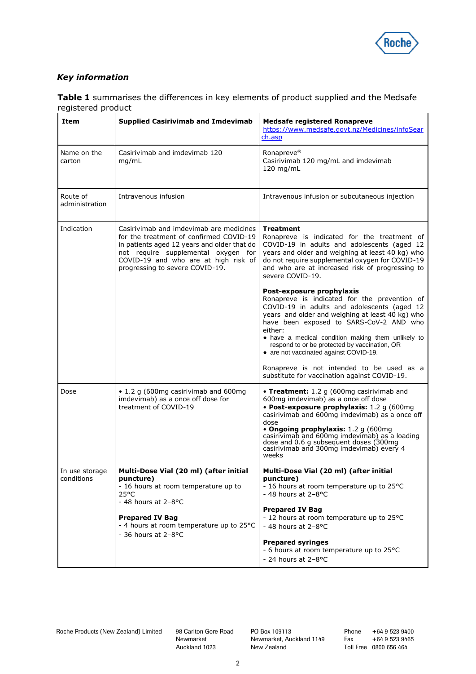

# *Key information*

| Item                         | <b>Supplied Casirivimab and Imdevimab</b>                                                                                                                                                                                                           | <b>Medsafe registered Ronapreve</b><br>https://www.medsafe.govt.nz/Medicines/infoSear<br>ch.asp                                                                                                                                                                                                                                                                                     |
|------------------------------|-----------------------------------------------------------------------------------------------------------------------------------------------------------------------------------------------------------------------------------------------------|-------------------------------------------------------------------------------------------------------------------------------------------------------------------------------------------------------------------------------------------------------------------------------------------------------------------------------------------------------------------------------------|
| Name on the<br>carton        | Casirivimab and imdevimab 120<br>mg/mL                                                                                                                                                                                                              | Ronapreve <sup>®</sup><br>Casirivimab 120 mg/mL and imdevimab<br>120 mg/mL                                                                                                                                                                                                                                                                                                          |
| Route of<br>administration   | Intravenous infusion                                                                                                                                                                                                                                | Intravenous infusion or subcutaneous injection                                                                                                                                                                                                                                                                                                                                      |
| Indication                   | Casirivimab and imdevimab are medicines<br>for the treatment of confirmed COVID-19<br>in patients aged 12 years and older that do<br>not require supplemental oxygen for<br>COVID-19 and who are at high risk of<br>progressing to severe COVID-19. | <b>Treatment</b><br>Ronapreve is indicated for the treatment of<br>COVID-19 in adults and adolescents (aged 12<br>years and older and weighing at least 40 kg) who<br>do not require supplemental oxygen for COVID-19<br>and who are at increased risk of progressing to<br>severe COVID-19.                                                                                        |
|                              |                                                                                                                                                                                                                                                     | Post-exposure prophylaxis<br>Ronapreve is indicated for the prevention of<br>COVID-19 in adults and adolescents (aged 12<br>years and older and weighing at least 40 kg) who<br>have been exposed to SARS-CoV-2 AND who<br>either:<br>• have a medical condition making them unlikely to<br>respond to or be protected by vaccination, OR<br>• are not vaccinated against COVID-19. |
|                              |                                                                                                                                                                                                                                                     | Ronapreve is not intended to be used as a<br>substitute for vaccination against COVID-19.                                                                                                                                                                                                                                                                                           |
| Dose                         | • 1.2 g (600mg casirivimab and 600mg<br>imdevimab) as a once off dose for<br>treatment of COVID-19                                                                                                                                                  | • Treatment: 1.2 g (600mg casirivimab and<br>600mg imdevimab) as a once off dose<br>• Post-exposure prophylaxis: 1.2 g (600mg<br>casirivimab and 600mg imdevimab) as a once off<br>dose<br>• Ongoing prophylaxis: 1.2 g (600mg<br>casirivimab and 600mg imdevimab) as a loading<br>dose and 0.6 g subsequent doses (300mg<br>casirivimab and 300mg imdevimab) every 4<br>weeks      |
| In use storage<br>conditions | Multi-Dose Vial (20 ml) (after initial<br>puncture)<br>- 16 hours at room temperature up to<br>$25^{\circ}$ C<br>$-48$ hours at $2-8$ °C                                                                                                            | Multi-Dose Vial (20 ml) (after initial<br>puncture)<br>- 16 hours at room temperature up to 25°C<br>- 48 hours at $2-8$ °C<br><b>Prepared IV Bag</b>                                                                                                                                                                                                                                |
|                              | <b>Prepared IV Bag</b><br>- 4 hours at room temperature up to 25°C<br>$-36$ hours at $2-8$ °C                                                                                                                                                       | - 12 hours at room temperature up to 25°C<br>$-48$ hours at 2-8 $^{\circ}$ C                                                                                                                                                                                                                                                                                                        |
|                              |                                                                                                                                                                                                                                                     | <b>Prepared syringes</b><br>- 6 hours at room temperature up to 25°C<br>- 24 hours at $2-8$ °C                                                                                                                                                                                                                                                                                      |

**Table 1** summarises the differences in key elements of product supplied and the Medsafe registered product

Newmarket Auckland 1023 PO Box 109113 Newmarket, Auckland 1149 New Zealand

Phone +64 9 523 9400 Fax +64 9 523 9465 Toll Free 0800 656 464